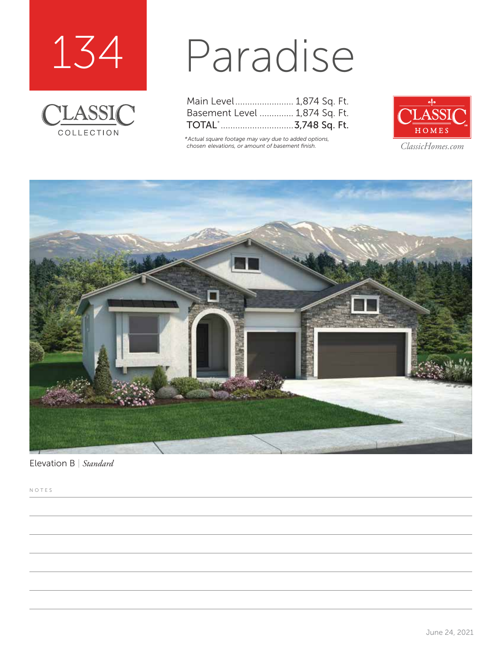



## Paradise

| Main Level 1,874 Sq. Ft.      |  |  |
|-------------------------------|--|--|
| Basement Level  1,874 Sq. Ft. |  |  |
| TOTAL`3,748 Sq. Ft.           |  |  |

*\*Actual square footage may vary due to added options, chosen elevations, or amount of basement finish. ClassicHomes.com*





Elevation B | *Standard*

NOTES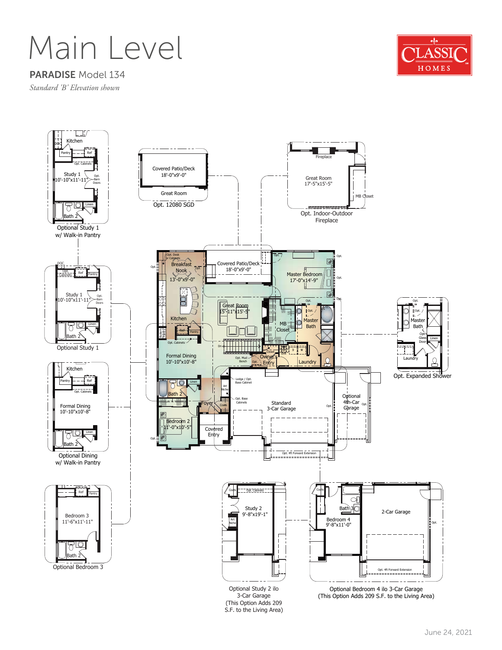Main Level



PARADISE Model 134

*Standard 'B' Elevation shown*

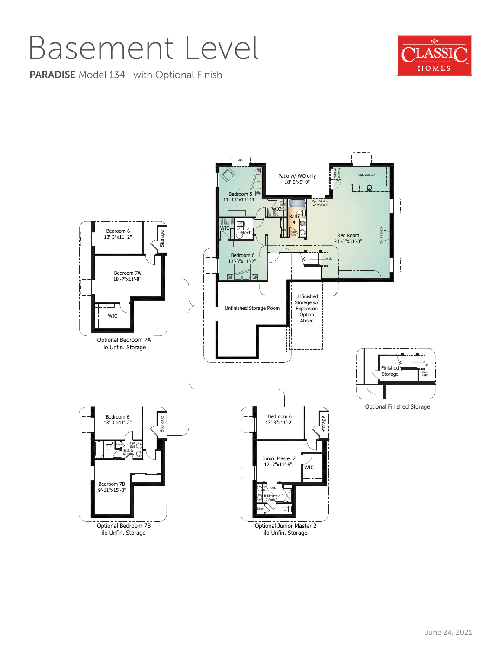## Basement Level

**PARADISE** Model 134 | with Optional Finish